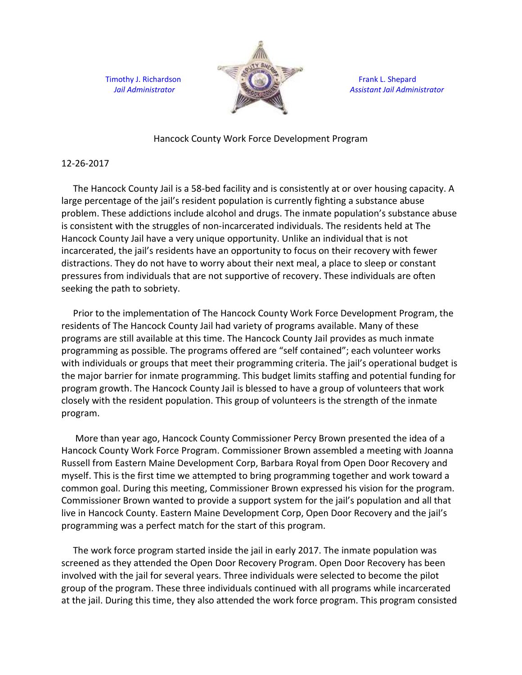

## Hancock County Work Force Development Program

## 12-26-2017

 The Hancock County Jail is a 58-bed facility and is consistently at or over housing capacity. A large percentage of the jail's resident population is currently fighting a substance abuse problem. These addictions include alcohol and drugs. The inmate population's substance abuse is consistent with the struggles of non-incarcerated individuals. The residents held at The Hancock County Jail have a very unique opportunity. Unlike an individual that is not incarcerated, the jail's residents have an opportunity to focus on their recovery with fewer distractions. They do not have to worry about their next meal, a place to sleep or constant pressures from individuals that are not supportive of recovery. These individuals are often seeking the path to sobriety.

 Prior to the implementation of The Hancock County Work Force Development Program, the residents of The Hancock County Jail had variety of programs available. Many of these programs are still available at this time. The Hancock County Jail provides as much inmate programming as possible. The programs offered are "self contained"; each volunteer works with individuals or groups that meet their programming criteria. The jail's operational budget is the major barrier for inmate programming. This budget limits staffing and potential funding for program growth. The Hancock County Jail is blessed to have a group of volunteers that work closely with the resident population. This group of volunteers is the strength of the inmate program.

 More than year ago, Hancock County Commissioner Percy Brown presented the idea of a Hancock County Work Force Program. Commissioner Brown assembled a meeting with Joanna Russell from Eastern Maine Development Corp, Barbara Royal from Open Door Recovery and myself. This is the first time we attempted to bring programming together and work toward a common goal. During this meeting, Commissioner Brown expressed his vision for the program. Commissioner Brown wanted to provide a support system for the jail's population and all that live in Hancock County. Eastern Maine Development Corp, Open Door Recovery and the jail's programming was a perfect match for the start of this program.

 The work force program started inside the jail in early 2017. The inmate population was screened as they attended the Open Door Recovery Program. Open Door Recovery has been involved with the jail for several years. Three individuals were selected to become the pilot group of the program. These three individuals continued with all programs while incarcerated at the jail. During this time, they also attended the work force program. This program consisted